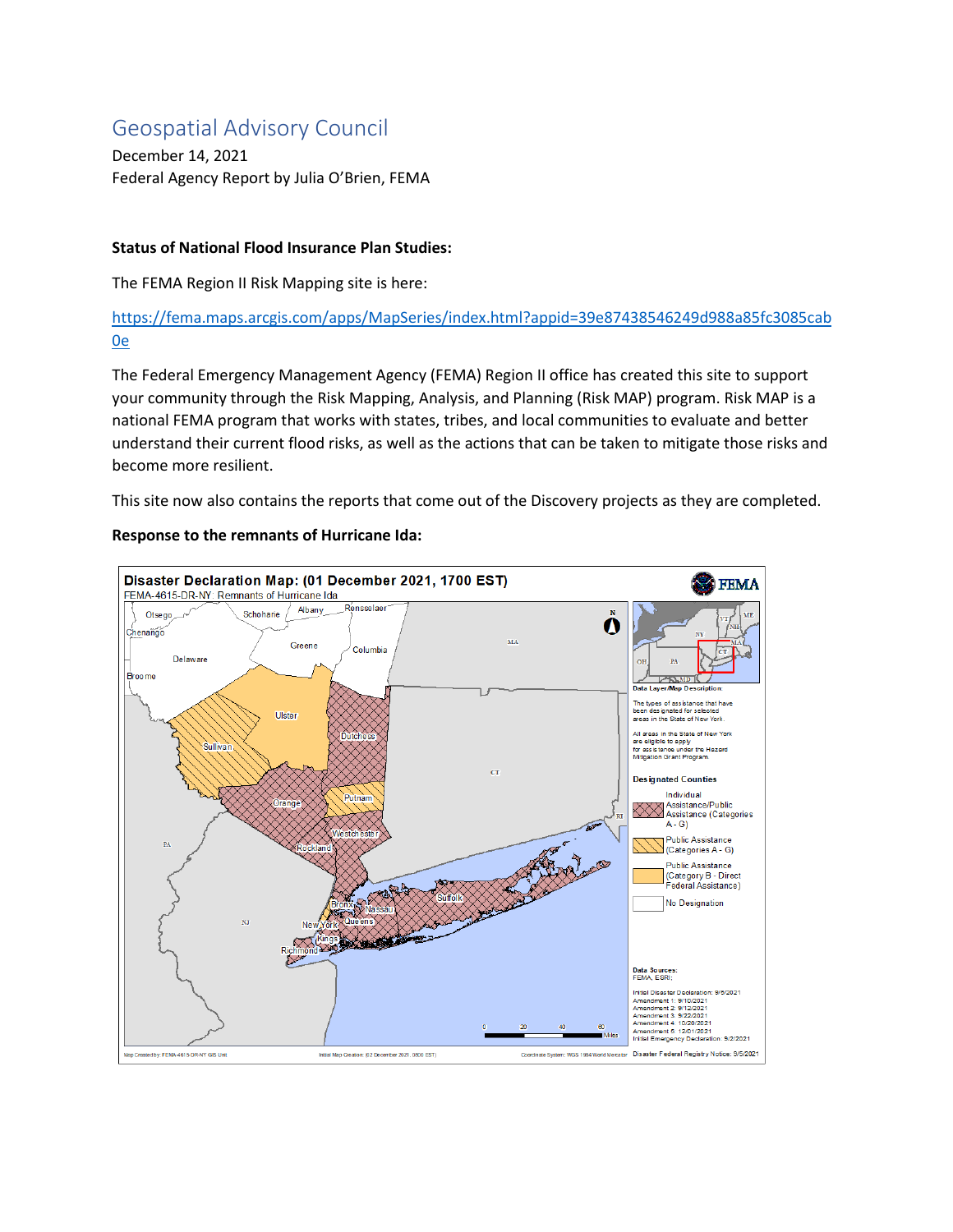# Geospatial Advisory Council

December 14, 2021 Federal Agency Report by Julia O'Brien, FEMA

## **Status of National Flood Insurance Plan Studies:**

The FEMA Region II Risk Mapping site is here:

[https://fema.maps.arcgis.com/apps/MapSeries/index.html?appid=39e87438546249d988a85fc3085cab](https://fema.maps.arcgis.com/apps/MapSeries/index.html?appid=39e87438546249d988a85fc3085cab0e) [0e](https://fema.maps.arcgis.com/apps/MapSeries/index.html?appid=39e87438546249d988a85fc3085cab0e) 

The Federal Emergency Management Agency (FEMA) Region II office has created this site to support your community through the Risk Mapping, Analysis, and Planning (Risk MAP) program. Risk MAP is a national FEMA program that works with states, tribes, and local communities to evaluate and better understand their current flood risks, as well as the actions that can be taken to mitigate those risks and become more resilient.

This site now also contains the reports that come out of the Discovery projects as they are completed.

## **Response to the remnants of Hurricane Ida:**

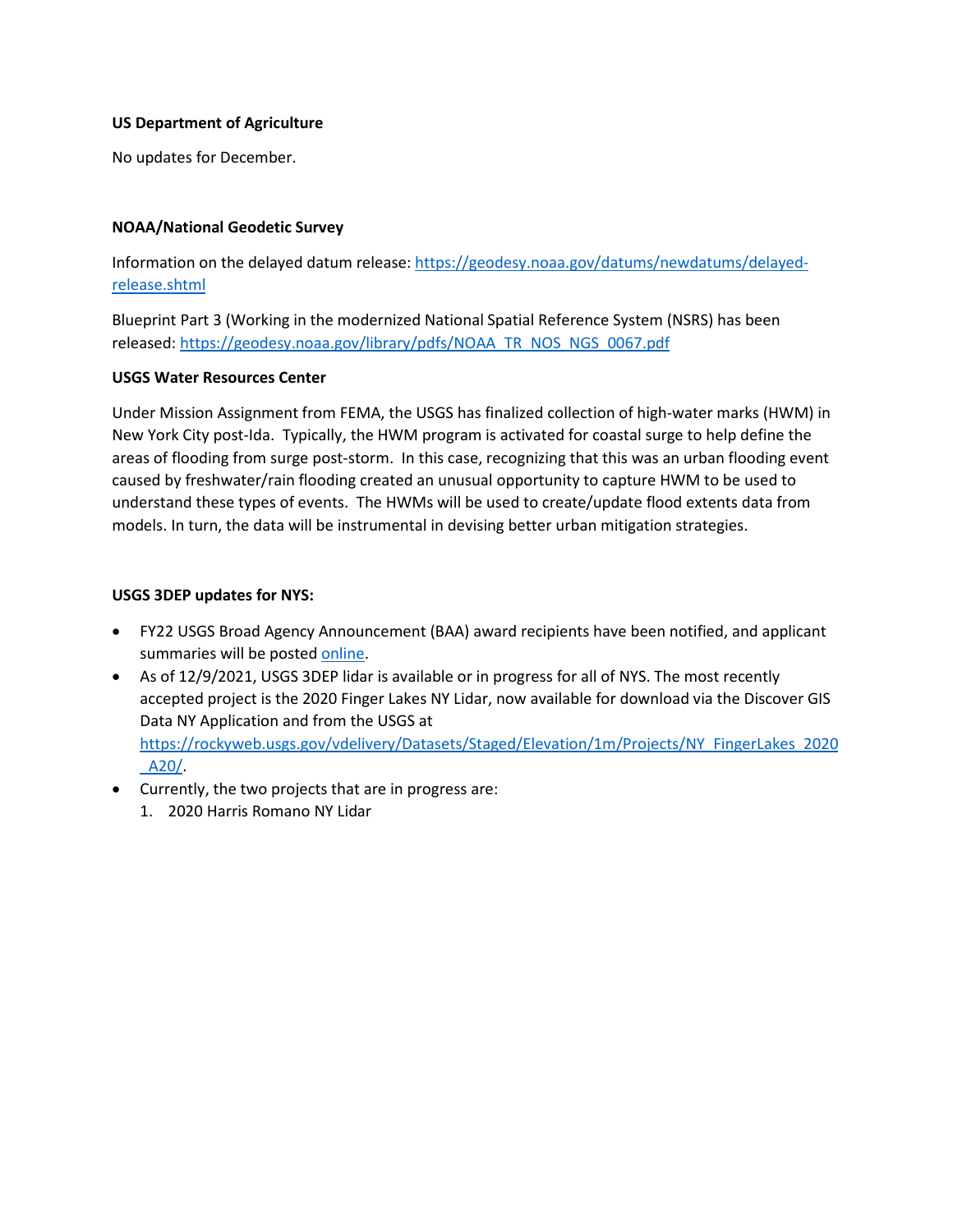#### **US Department of Agriculture**

No updates for December.

#### **NOAA/National Geodetic Survey**

Information on the delayed datum release[: https://geodesy.noaa.gov/datums/newdatums/delayed](https://geodesy.noaa.gov/datums/newdatums/delayed-release.shtml)[release.shtml](https://geodesy.noaa.gov/datums/newdatums/delayed-release.shtml)

Blueprint Part 3 (Working in the modernized National Spatial Reference System (NSRS) has been released[: https://geodesy.noaa.gov/library/pdfs/NOAA\\_TR\\_NOS\\_NGS\\_0067.pdf](https://geodesy.noaa.gov/library/pdfs/NOAA_TR_NOS_NGS_0067.pdf)

#### **USGS Water Resources Center**

Under Mission Assignment from FEMA, the USGS has finalized collection of high-water marks (HWM) in New York City post-Ida. Typically, the HWM program is activated for coastal surge to help define the areas of flooding from surge post-storm. In this case, recognizing that this was an urban flooding event caused by freshwater/rain flooding created an unusual opportunity to capture HWM to be used to understand these types of events. The HWMs will be used to create/update flood extents data from models. In turn, the data will be instrumental in devising better urban mitigation strategies.

## **USGS 3DEP updates for NYS:**

- FY22 USGS Broad Agency Announcement (BAA) award recipients have been notified, and applicant summaries will be poste[d online.](https://www.usgs.gov/3d-elevation-program/fy22-usgs-broad-agency-announcement-baa?qt-science_support_page_related_con=0#qt-science_support_page_related_con)
- As of 12/9/2021, USGS 3DEP lidar is available or in progress for all of NYS. The most recently accepted project is the 2020 Finger Lakes NY Lidar, now available for download via the Discover GIS Data NY Application and from the USGS at [https://rockyweb.usgs.gov/vdelivery/Datasets/Staged/Elevation/1m/Projects/NY\\_FingerLakes\\_2020](https://rockyweb.usgs.gov/vdelivery/Datasets/Staged/Elevation/1m/Projects/NY_FingerLakes_2020_A20/) [\\_A20/.](https://rockyweb.usgs.gov/vdelivery/Datasets/Staged/Elevation/1m/Projects/NY_FingerLakes_2020_A20/)
- Currently, the two projects that are in progress are:
	- 1. 2020 Harris Romano NY Lidar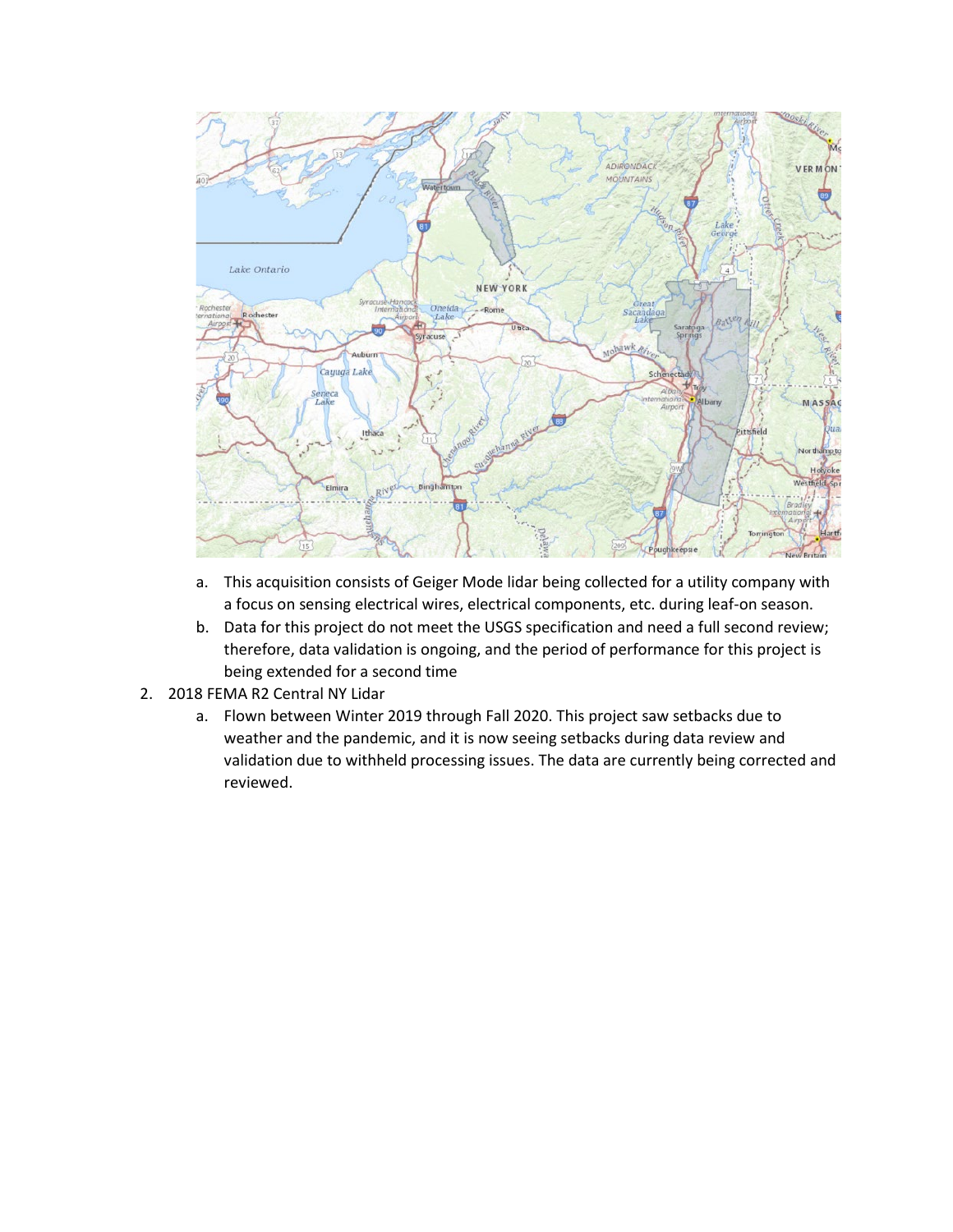

- a. This acquisition consists of Geiger Mode lidar being collected for a utility company with a focus on sensing electrical wires, electrical components, etc. during leaf-on season.
- b. Data for this project do not meet the USGS specification and need a full second review; therefore, data validation is ongoing, and the period of performance for this project is being extended for a second time
- 2. 2018 FEMA R2 Central NY Lidar
	- a. Flown between Winter 2019 through Fall 2020. This project saw setbacks due to weather and the pandemic, and it is now seeing setbacks during data review and validation due to withheld processing issues. The data are currently being corrected and reviewed.